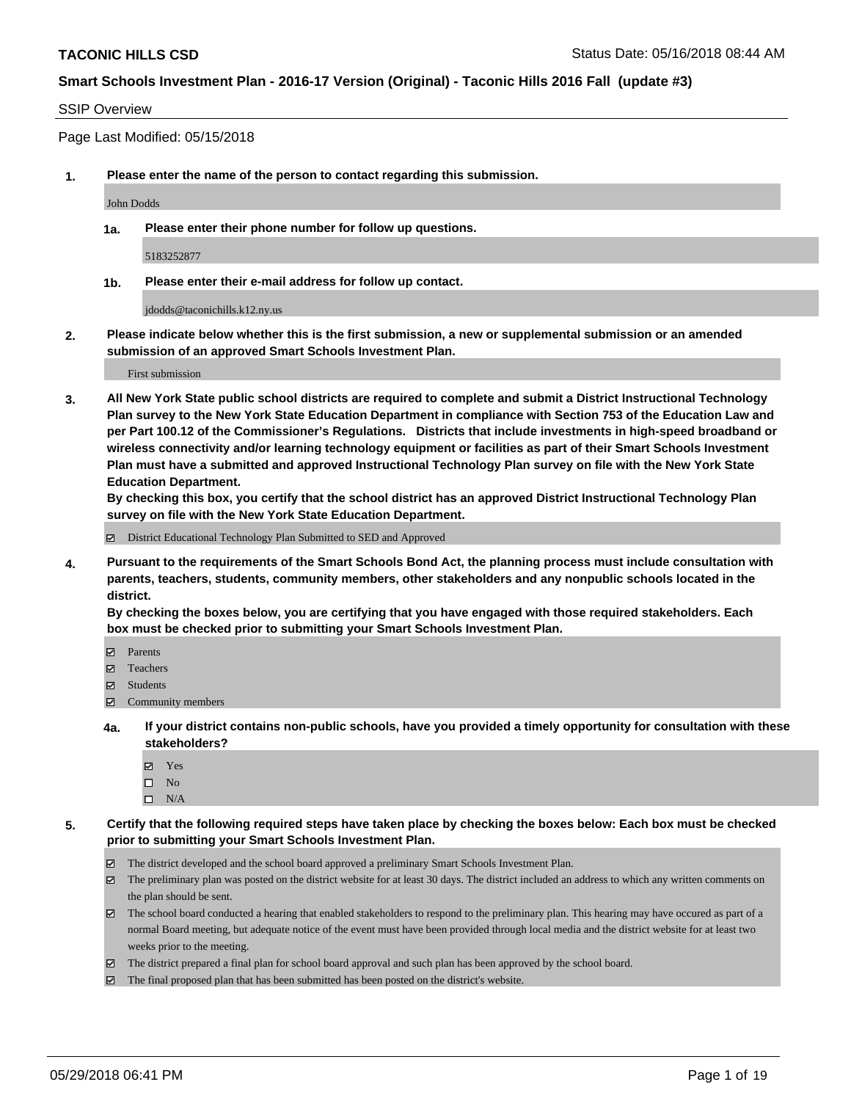#### SSIP Overview

Page Last Modified: 05/15/2018

**1. Please enter the name of the person to contact regarding this submission.**

John Dodds

**1a. Please enter their phone number for follow up questions.**

5183252877

**1b. Please enter their e-mail address for follow up contact.**

jdodds@taconichills.k12.ny.us

**2. Please indicate below whether this is the first submission, a new or supplemental submission or an amended submission of an approved Smart Schools Investment Plan.**

First submission

**3. All New York State public school districts are required to complete and submit a District Instructional Technology Plan survey to the New York State Education Department in compliance with Section 753 of the Education Law and per Part 100.12 of the Commissioner's Regulations. Districts that include investments in high-speed broadband or wireless connectivity and/or learning technology equipment or facilities as part of their Smart Schools Investment Plan must have a submitted and approved Instructional Technology Plan survey on file with the New York State Education Department.** 

**By checking this box, you certify that the school district has an approved District Instructional Technology Plan survey on file with the New York State Education Department.**

District Educational Technology Plan Submitted to SED and Approved

**4. Pursuant to the requirements of the Smart Schools Bond Act, the planning process must include consultation with parents, teachers, students, community members, other stakeholders and any nonpublic schools located in the district.** 

**By checking the boxes below, you are certifying that you have engaged with those required stakeholders. Each box must be checked prior to submitting your Smart Schools Investment Plan.**

- Parents
- Teachers
- Students
- Community members
- **4a. If your district contains non-public schools, have you provided a timely opportunity for consultation with these stakeholders?**
	- Yes
	- $\square$  No
	- $\square$  N/A
- **5. Certify that the following required steps have taken place by checking the boxes below: Each box must be checked prior to submitting your Smart Schools Investment Plan.**
	- The district developed and the school board approved a preliminary Smart Schools Investment Plan.
	- $\boxtimes$  The preliminary plan was posted on the district website for at least 30 days. The district included an address to which any written comments on the plan should be sent.
	- $\boxtimes$  The school board conducted a hearing that enabled stakeholders to respond to the preliminary plan. This hearing may have occured as part of a normal Board meeting, but adequate notice of the event must have been provided through local media and the district website for at least two weeks prior to the meeting.
	- The district prepared a final plan for school board approval and such plan has been approved by the school board.
	- $\boxtimes$  The final proposed plan that has been submitted has been posted on the district's website.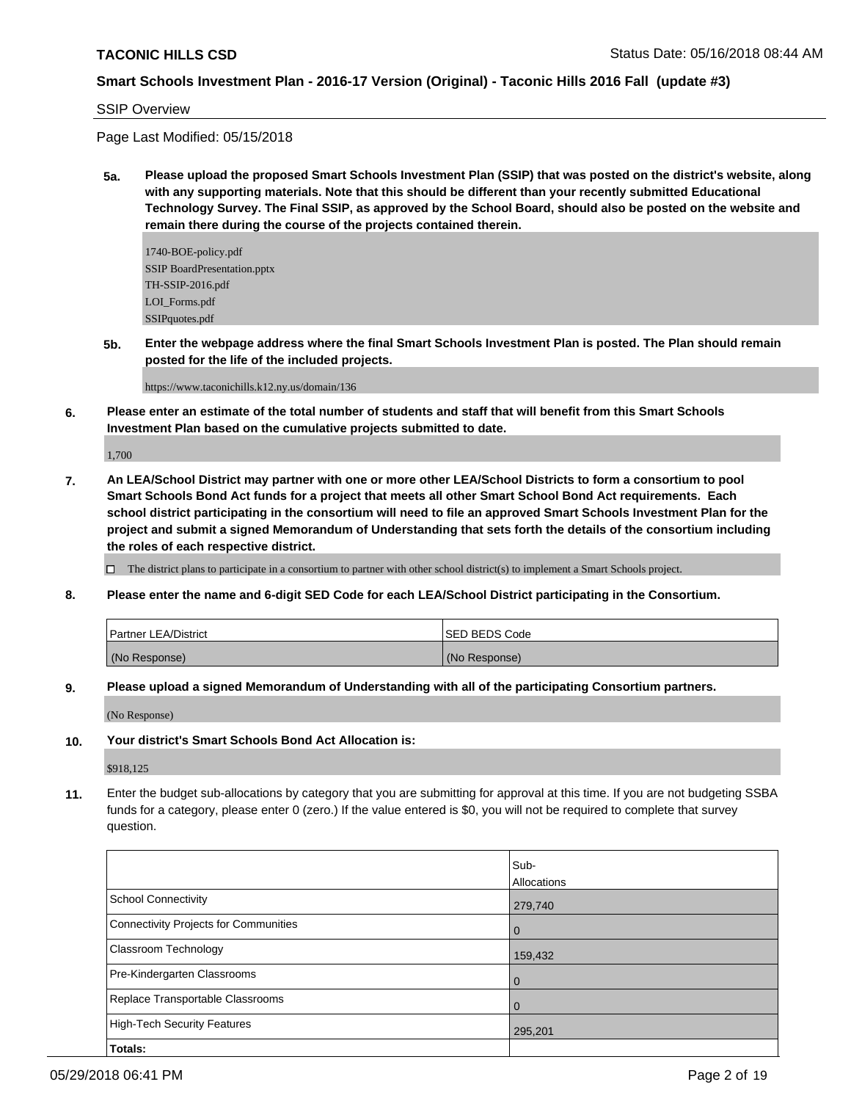#### SSIP Overview

Page Last Modified: 05/15/2018

**5a. Please upload the proposed Smart Schools Investment Plan (SSIP) that was posted on the district's website, along with any supporting materials. Note that this should be different than your recently submitted Educational Technology Survey. The Final SSIP, as approved by the School Board, should also be posted on the website and remain there during the course of the projects contained therein.**

1740-BOE-policy.pdf SSIP BoardPresentation.pptx TH-SSIP-2016.pdf LOI Forms.pdf SSIPquotes.pdf

**5b. Enter the webpage address where the final Smart Schools Investment Plan is posted. The Plan should remain posted for the life of the included projects.**

https://www.taconichills.k12.ny.us/domain/136

**6. Please enter an estimate of the total number of students and staff that will benefit from this Smart Schools Investment Plan based on the cumulative projects submitted to date.**

1,700

**7. An LEA/School District may partner with one or more other LEA/School Districts to form a consortium to pool Smart Schools Bond Act funds for a project that meets all other Smart School Bond Act requirements. Each school district participating in the consortium will need to file an approved Smart Schools Investment Plan for the project and submit a signed Memorandum of Understanding that sets forth the details of the consortium including the roles of each respective district.**

 $\Box$  The district plans to participate in a consortium to partner with other school district(s) to implement a Smart Schools project.

**8. Please enter the name and 6-digit SED Code for each LEA/School District participating in the Consortium.**

| l Partner LEA/District | <b>ISED BEDS Code</b> |
|------------------------|-----------------------|
| (No Response)          | (No Response)         |

**9. Please upload a signed Memorandum of Understanding with all of the participating Consortium partners.**

(No Response)

#### **10. Your district's Smart Schools Bond Act Allocation is:**

\$918,125

**11.** Enter the budget sub-allocations by category that you are submitting for approval at this time. If you are not budgeting SSBA funds for a category, please enter 0 (zero.) If the value entered is \$0, you will not be required to complete that survey question.

|                                       | Sub-        |
|---------------------------------------|-------------|
|                                       | Allocations |
| School Connectivity                   | 279,740     |
| Connectivity Projects for Communities | 0           |
| <b>Classroom Technology</b>           | 159,432     |
| Pre-Kindergarten Classrooms           | 0           |
| Replace Transportable Classrooms      | 0           |
| High-Tech Security Features           | 295,201     |
| Totals:                               |             |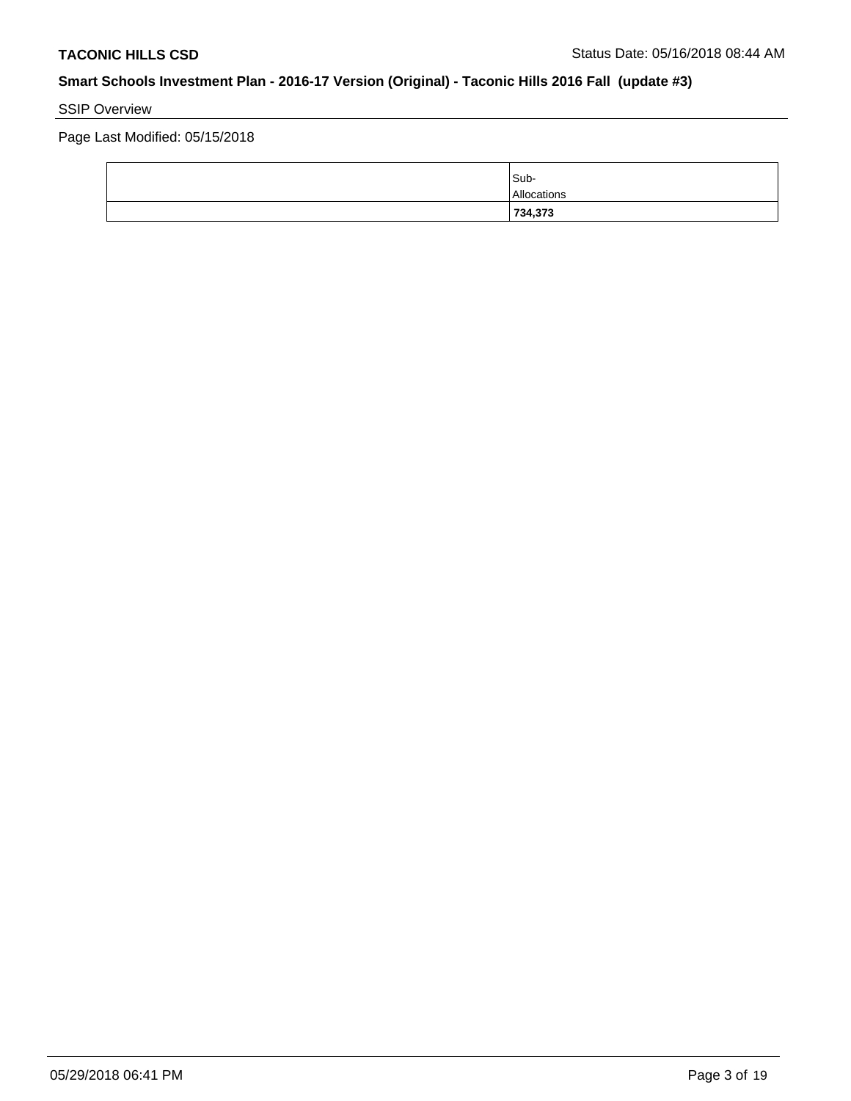# SSIP Overview

Page Last Modified: 05/15/2018

| 734,373     |
|-------------|
| Allocations |
| Sub-        |
|             |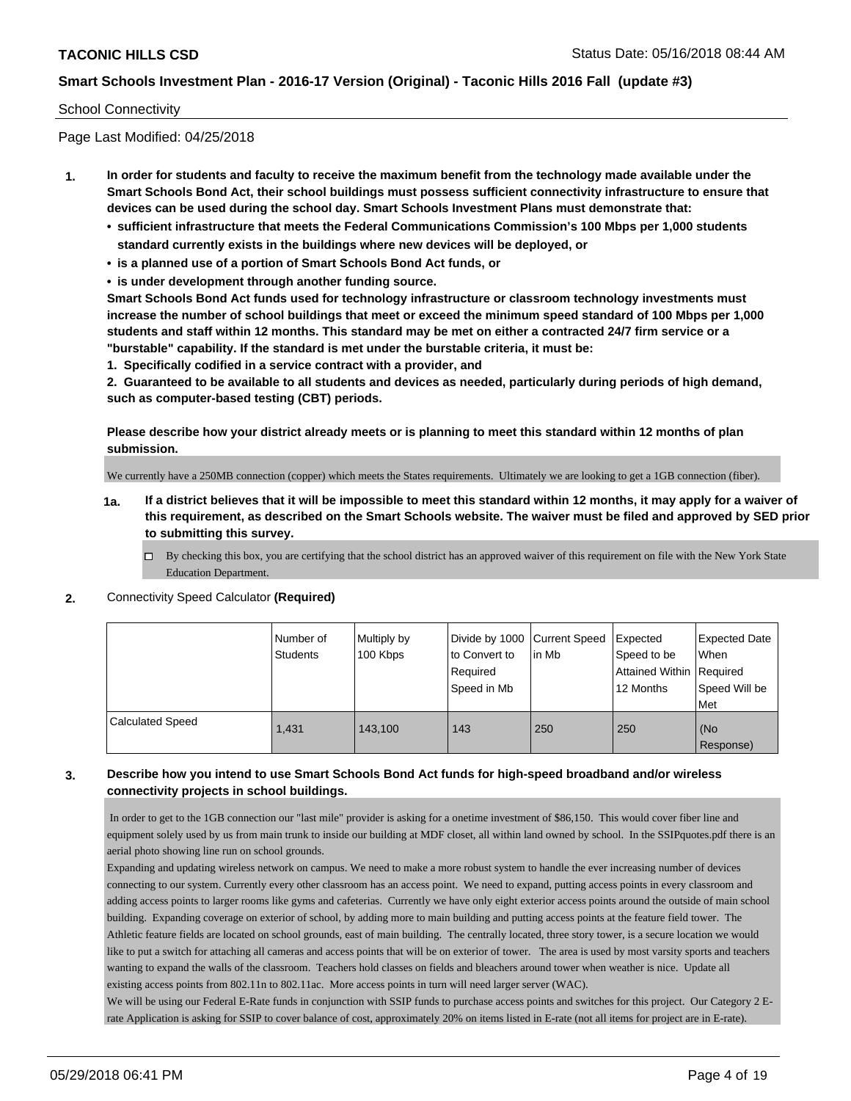#### School Connectivity

Page Last Modified: 04/25/2018

- **1. In order for students and faculty to receive the maximum benefit from the technology made available under the Smart Schools Bond Act, their school buildings must possess sufficient connectivity infrastructure to ensure that devices can be used during the school day. Smart Schools Investment Plans must demonstrate that:**
	- **• sufficient infrastructure that meets the Federal Communications Commission's 100 Mbps per 1,000 students standard currently exists in the buildings where new devices will be deployed, or**
	- **• is a planned use of a portion of Smart Schools Bond Act funds, or**
	- **• is under development through another funding source.**

**Smart Schools Bond Act funds used for technology infrastructure or classroom technology investments must increase the number of school buildings that meet or exceed the minimum speed standard of 100 Mbps per 1,000 students and staff within 12 months. This standard may be met on either a contracted 24/7 firm service or a "burstable" capability. If the standard is met under the burstable criteria, it must be:**

**1. Specifically codified in a service contract with a provider, and**

**2. Guaranteed to be available to all students and devices as needed, particularly during periods of high demand, such as computer-based testing (CBT) periods.**

**Please describe how your district already meets or is planning to meet this standard within 12 months of plan submission.**

We currently have a 250MB connection (copper) which meets the States requirements. Ultimately we are looking to get a 1GB connection (fiber).

- **1a. If a district believes that it will be impossible to meet this standard within 12 months, it may apply for a waiver of this requirement, as described on the Smart Schools website. The waiver must be filed and approved by SED prior to submitting this survey.**
	- By checking this box, you are certifying that the school district has an approved waiver of this requirement on file with the New York State Education Department.

#### **2.** Connectivity Speed Calculator **(Required)**

|                         | l Number of<br><b>Students</b> | Multiply by<br>100 Kbps | Divide by 1000 Current Speed<br>to Convert to<br>Required<br>Speed in Mb | lin Mb | Expected<br>Speed to be<br>Attained Within Required<br>12 Months | Expected Date<br><b>When</b><br>Speed Will be<br>l Met |
|-------------------------|--------------------------------|-------------------------|--------------------------------------------------------------------------|--------|------------------------------------------------------------------|--------------------------------------------------------|
| <b>Calculated Speed</b> | 1.431                          | 143.100                 | 143                                                                      | 250    | 250                                                              | (No<br>Response)                                       |

### **3. Describe how you intend to use Smart Schools Bond Act funds for high-speed broadband and/or wireless connectivity projects in school buildings.**

 In order to get to the 1GB connection our "last mile" provider is asking for a onetime investment of \$86,150. This would cover fiber line and equipment solely used by us from main trunk to inside our building at MDF closet, all within land owned by school. In the SSIPquotes.pdf there is an aerial photo showing line run on school grounds.

Expanding and updating wireless network on campus. We need to make a more robust system to handle the ever increasing number of devices connecting to our system. Currently every other classroom has an access point. We need to expand, putting access points in every classroom and adding access points to larger rooms like gyms and cafeterias. Currently we have only eight exterior access points around the outside of main school building. Expanding coverage on exterior of school, by adding more to main building and putting access points at the feature field tower. The Athletic feature fields are located on school grounds, east of main building. The centrally located, three story tower, is a secure location we would like to put a switch for attaching all cameras and access points that will be on exterior of tower. The area is used by most varsity sports and teachers wanting to expand the walls of the classroom. Teachers hold classes on fields and bleachers around tower when weather is nice. Update all existing access points from 802.11n to 802.11ac. More access points in turn will need larger server (WAC).

We will be using our Federal E-Rate funds in conjunction with SSIP funds to purchase access points and switches for this project. Our Category 2 Erate Application is asking for SSIP to cover balance of cost, approximately 20% on items listed in E-rate (not all items for project are in E-rate).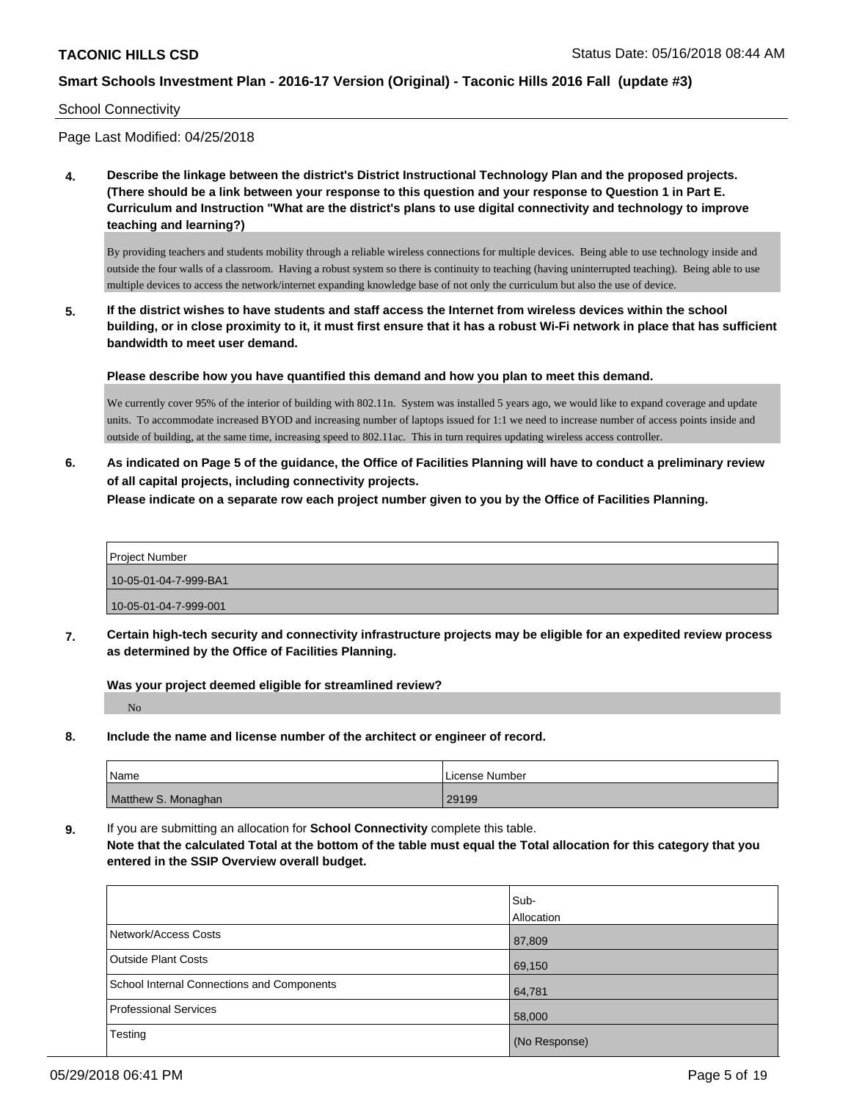School Connectivity

Page Last Modified: 04/25/2018

**4. Describe the linkage between the district's District Instructional Technology Plan and the proposed projects. (There should be a link between your response to this question and your response to Question 1 in Part E. Curriculum and Instruction "What are the district's plans to use digital connectivity and technology to improve teaching and learning?)**

By providing teachers and students mobility through a reliable wireless connections for multiple devices. Being able to use technology inside and outside the four walls of a classroom. Having a robust system so there is continuity to teaching (having uninterrupted teaching). Being able to use multiple devices to access the network/internet expanding knowledge base of not only the curriculum but also the use of device.

**5. If the district wishes to have students and staff access the Internet from wireless devices within the school building, or in close proximity to it, it must first ensure that it has a robust Wi-Fi network in place that has sufficient bandwidth to meet user demand.**

**Please describe how you have quantified this demand and how you plan to meet this demand.**

We currently cover 95% of the interior of building with 802.11n. System was installed 5 years ago, we would like to expand coverage and update units. To accommodate increased BYOD and increasing number of laptops issued for 1:1 we need to increase number of access points inside and outside of building, at the same time, increasing speed to 802.11ac. This in turn requires updating wireless access controller.

**6. As indicated on Page 5 of the guidance, the Office of Facilities Planning will have to conduct a preliminary review of all capital projects, including connectivity projects.**

**Please indicate on a separate row each project number given to you by the Office of Facilities Planning.**

| <b>Project Number</b> |
|-----------------------|
| 10-05-01-04-7-999-BA1 |
| 10-05-01-04-7-999-001 |

**7. Certain high-tech security and connectivity infrastructure projects may be eligible for an expedited review process as determined by the Office of Facilities Planning.**

**Was your project deemed eligible for streamlined review?**

No

**8. Include the name and license number of the architect or engineer of record.**

| Name                | License Number |
|---------------------|----------------|
| Matthew S. Monaghan | 29199          |

**9.** If you are submitting an allocation for **School Connectivity** complete this table.

**Note that the calculated Total at the bottom of the table must equal the Total allocation for this category that you entered in the SSIP Overview overall budget.** 

|                                            | Sub-<br>Allocation |
|--------------------------------------------|--------------------|
| Network/Access Costs                       | 87,809             |
| <b>Outside Plant Costs</b>                 | 69,150             |
| School Internal Connections and Components | 64,781             |
| <b>Professional Services</b>               | 58,000             |
| Testing                                    | (No Response)      |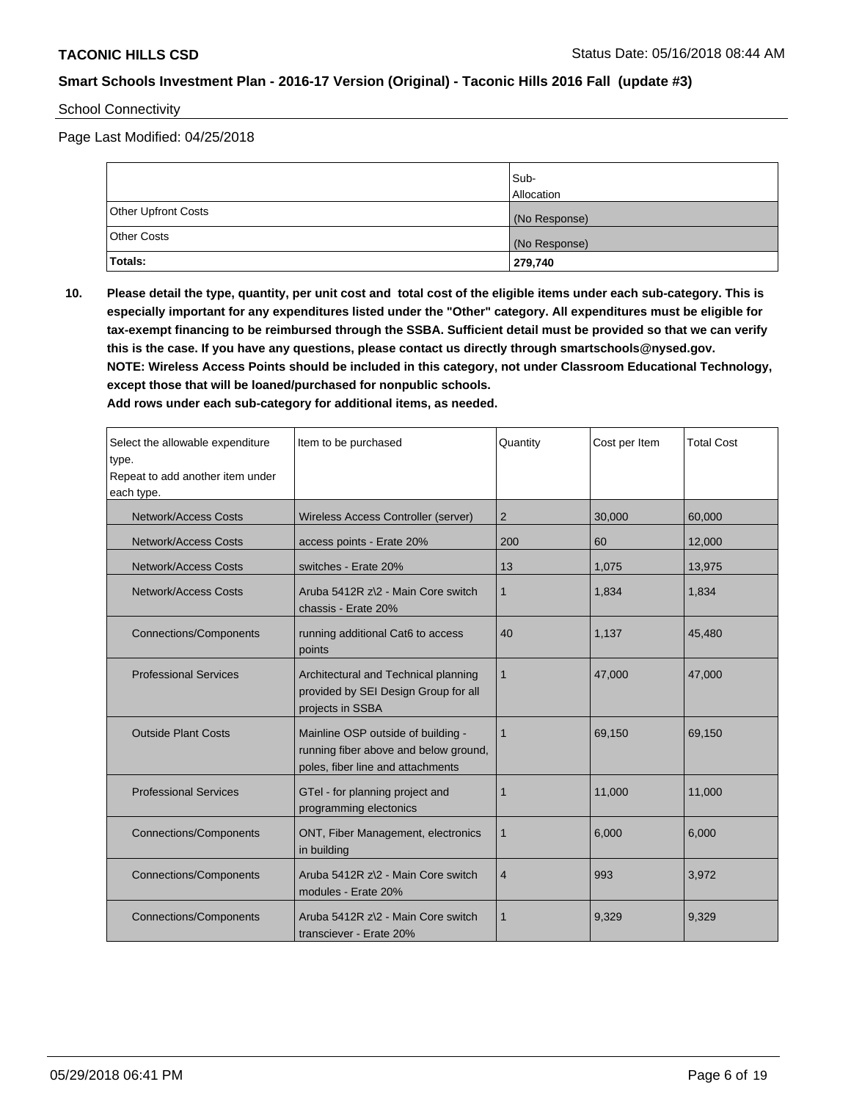#### School Connectivity

Page Last Modified: 04/25/2018

|                            | Sub-<br><b>Allocation</b> |
|----------------------------|---------------------------|
| <b>Other Upfront Costs</b> | (No Response)             |
| <b>Other Costs</b>         | (No Response)             |
| Totals:                    | 279,740                   |

**10. Please detail the type, quantity, per unit cost and total cost of the eligible items under each sub-category. This is especially important for any expenditures listed under the "Other" category. All expenditures must be eligible for tax-exempt financing to be reimbursed through the SSBA. Sufficient detail must be provided so that we can verify this is the case. If you have any questions, please contact us directly through smartschools@nysed.gov. NOTE: Wireless Access Points should be included in this category, not under Classroom Educational Technology, except those that will be loaned/purchased for nonpublic schools.**

| Select the allowable expenditure<br>type.<br>Repeat to add another item under<br>each type. | Item to be purchased                                                                                             | Quantity     | Cost per Item | <b>Total Cost</b> |
|---------------------------------------------------------------------------------------------|------------------------------------------------------------------------------------------------------------------|--------------|---------------|-------------------|
| Network/Access Costs                                                                        | Wireless Access Controller (server)                                                                              | 2            | 30,000        | 60,000            |
| Network/Access Costs                                                                        | access points - Erate 20%                                                                                        | 200          | 60            | 12,000            |
| Network/Access Costs                                                                        | switches - Erate 20%                                                                                             | 13           | 1,075         | 13,975            |
| Network/Access Costs                                                                        | Aruba 5412R z\2 - Main Core switch<br>chassis - Erate 20%                                                        | $\mathbf{1}$ | 1,834         | 1,834             |
| <b>Connections/Components</b>                                                               | running additional Cat6 to access<br>points                                                                      | 40           | 1.137         | 45,480            |
| <b>Professional Services</b>                                                                | Architectural and Technical planning<br>provided by SEI Design Group for all<br>projects in SSBA                 | $\mathbf{1}$ | 47,000        | 47,000            |
| <b>Outside Plant Costs</b>                                                                  | Mainline OSP outside of building -<br>running fiber above and below ground,<br>poles, fiber line and attachments | 1            | 69,150        | 69,150            |
| <b>Professional Services</b>                                                                | GTel - for planning project and<br>programming electonics                                                        | 1            | 11,000        | 11,000            |
| <b>Connections/Components</b>                                                               | ONT, Fiber Management, electronics<br>in building                                                                | 1            | 6,000         | 6,000             |
| <b>Connections/Components</b>                                                               | Aruba 5412R z\2 - Main Core switch<br>modules - Erate 20%                                                        | 4            | 993           | 3,972             |
| <b>Connections/Components</b>                                                               | Aruba 5412R z\2 - Main Core switch<br>transciever - Erate 20%                                                    | 1            | 9.329         | 9,329             |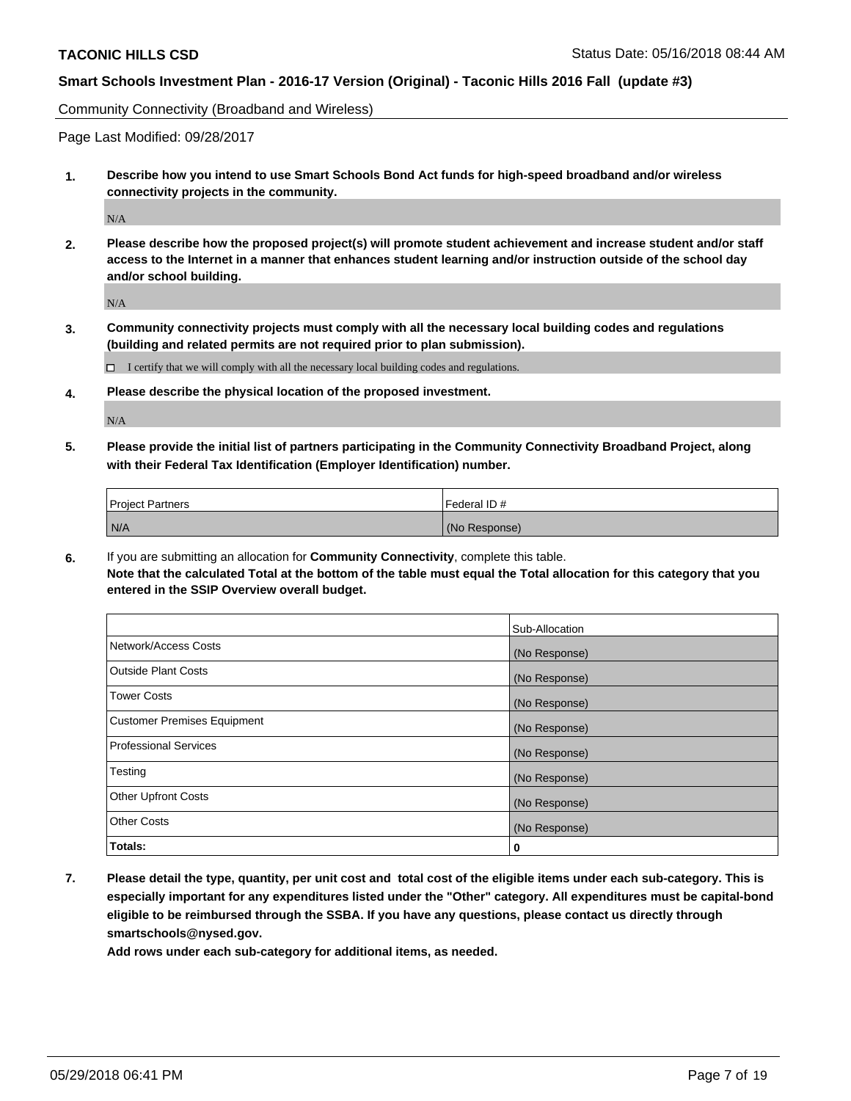Community Connectivity (Broadband and Wireless)

Page Last Modified: 09/28/2017

**1. Describe how you intend to use Smart Schools Bond Act funds for high-speed broadband and/or wireless connectivity projects in the community.**

N/A

**2. Please describe how the proposed project(s) will promote student achievement and increase student and/or staff access to the Internet in a manner that enhances student learning and/or instruction outside of the school day and/or school building.**

 $\rm N/A$ 

**3. Community connectivity projects must comply with all the necessary local building codes and regulations (building and related permits are not required prior to plan submission).**

 $\Box$  I certify that we will comply with all the necessary local building codes and regulations.

**4. Please describe the physical location of the proposed investment.**

N/A

**5. Please provide the initial list of partners participating in the Community Connectivity Broadband Project, along with their Federal Tax Identification (Employer Identification) number.**

| <b>Project Partners</b> | Federal ID #  |
|-------------------------|---------------|
| N/A                     | (No Response) |

**6.** If you are submitting an allocation for **Community Connectivity**, complete this table. **Note that the calculated Total at the bottom of the table must equal the Total allocation for this category that you entered in the SSIP Overview overall budget.**

|                                    | Sub-Allocation |
|------------------------------------|----------------|
| Network/Access Costs               | (No Response)  |
| <b>Outside Plant Costs</b>         | (No Response)  |
| <b>Tower Costs</b>                 | (No Response)  |
| <b>Customer Premises Equipment</b> | (No Response)  |
| Professional Services              | (No Response)  |
| Testing                            | (No Response)  |
| <b>Other Upfront Costs</b>         | (No Response)  |
| <b>Other Costs</b>                 | (No Response)  |
| Totals:                            | 0              |

**7. Please detail the type, quantity, per unit cost and total cost of the eligible items under each sub-category. This is especially important for any expenditures listed under the "Other" category. All expenditures must be capital-bond eligible to be reimbursed through the SSBA. If you have any questions, please contact us directly through smartschools@nysed.gov.**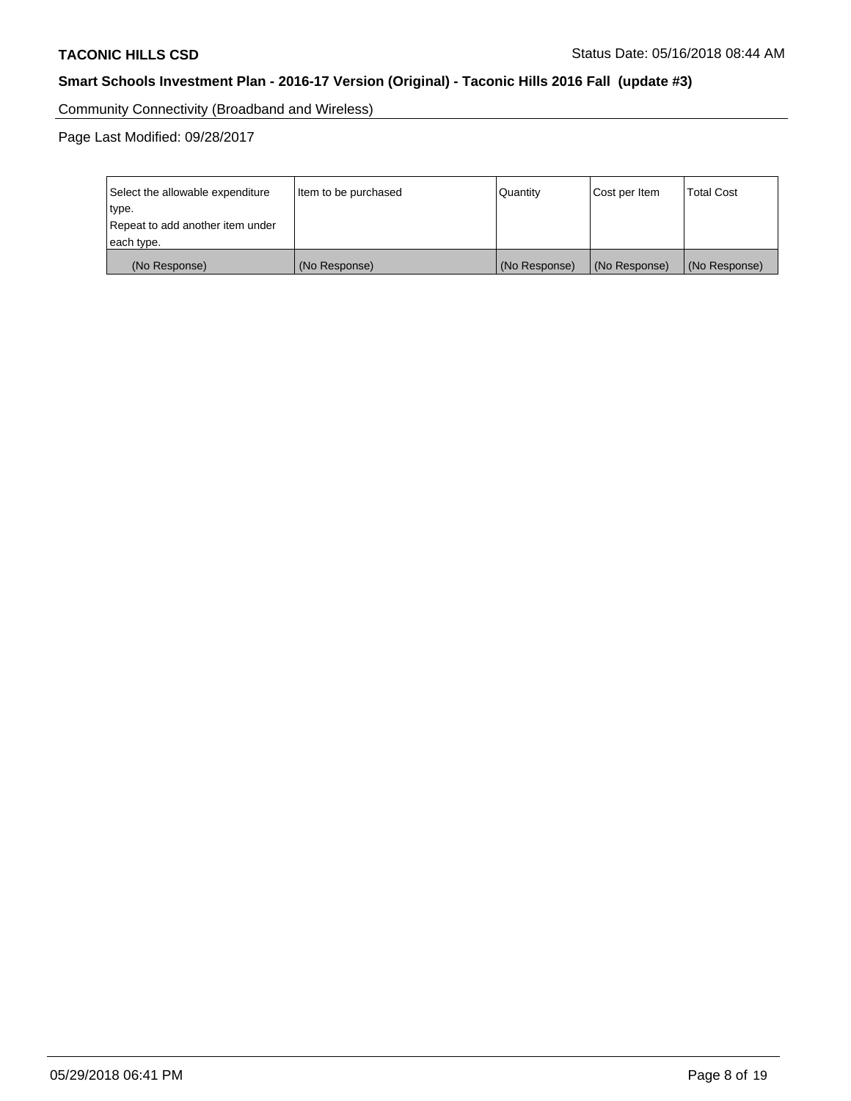Community Connectivity (Broadband and Wireless)

Page Last Modified: 09/28/2017

| Select the allowable expenditure<br>type.<br>Repeat to add another item under | Item to be purchased | Quantity      | Cost per Item | <b>Total Cost</b> |
|-------------------------------------------------------------------------------|----------------------|---------------|---------------|-------------------|
| each type.                                                                    |                      |               |               |                   |
| (No Response)                                                                 | (No Response)        | (No Response) | (No Response) | (No Response)     |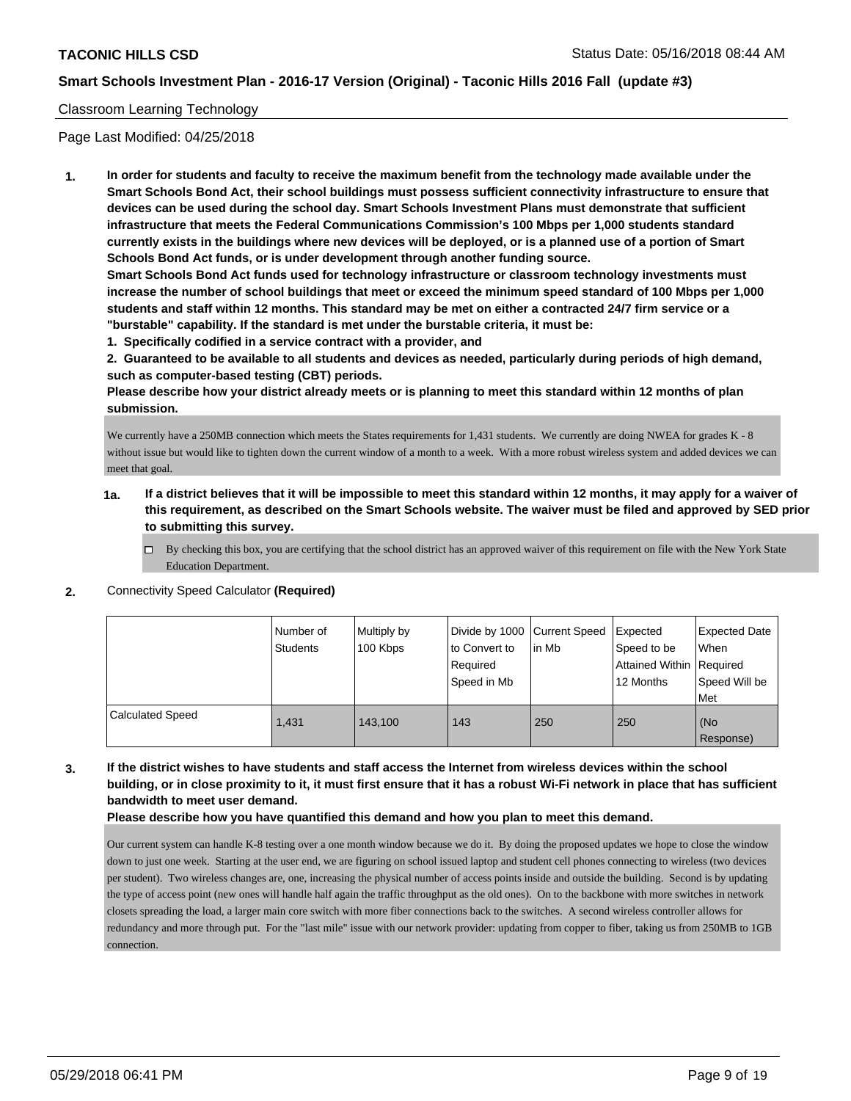#### Classroom Learning Technology

Page Last Modified: 04/25/2018

**1. In order for students and faculty to receive the maximum benefit from the technology made available under the Smart Schools Bond Act, their school buildings must possess sufficient connectivity infrastructure to ensure that devices can be used during the school day. Smart Schools Investment Plans must demonstrate that sufficient infrastructure that meets the Federal Communications Commission's 100 Mbps per 1,000 students standard currently exists in the buildings where new devices will be deployed, or is a planned use of a portion of Smart Schools Bond Act funds, or is under development through another funding source.**

**Smart Schools Bond Act funds used for technology infrastructure or classroom technology investments must increase the number of school buildings that meet or exceed the minimum speed standard of 100 Mbps per 1,000 students and staff within 12 months. This standard may be met on either a contracted 24/7 firm service or a "burstable" capability. If the standard is met under the burstable criteria, it must be:**

**1. Specifically codified in a service contract with a provider, and**

**2. Guaranteed to be available to all students and devices as needed, particularly during periods of high demand, such as computer-based testing (CBT) periods.**

**Please describe how your district already meets or is planning to meet this standard within 12 months of plan submission.**

We currently have a 250MB connection which meets the States requirements for 1,431 students. We currently are doing NWEA for grades K - 8 without issue but would like to tighten down the current window of a month to a week. With a more robust wireless system and added devices we can meet that goal.

- **1a. If a district believes that it will be impossible to meet this standard within 12 months, it may apply for a waiver of this requirement, as described on the Smart Schools website. The waiver must be filed and approved by SED prior to submitting this survey.**
	- By checking this box, you are certifying that the school district has an approved waiver of this requirement on file with the New York State Education Department.
- **2.** Connectivity Speed Calculator **(Required)**

|                         | Number of<br>Students | Multiply by<br>100 Kbps | Divide by 1000 Current Speed<br>to Convert to<br>Required<br>Speed in Mb | l in Mb | Expected<br>Speed to be<br>Attained Within Required<br>12 Months | Expected Date<br>When<br>Speed Will be<br>Met |
|-------------------------|-----------------------|-------------------------|--------------------------------------------------------------------------|---------|------------------------------------------------------------------|-----------------------------------------------|
| <b>Calculated Speed</b> | 1.431                 | 143.100                 | 143                                                                      | 250     | 250                                                              | (No<br>Response)                              |

### **3. If the district wishes to have students and staff access the Internet from wireless devices within the school building, or in close proximity to it, it must first ensure that it has a robust Wi-Fi network in place that has sufficient bandwidth to meet user demand.**

#### **Please describe how you have quantified this demand and how you plan to meet this demand.**

Our current system can handle K-8 testing over a one month window because we do it. By doing the proposed updates we hope to close the window down to just one week. Starting at the user end, we are figuring on school issued laptop and student cell phones connecting to wireless (two devices per student). Two wireless changes are, one, increasing the physical number of access points inside and outside the building. Second is by updating the type of access point (new ones will handle half again the traffic throughput as the old ones). On to the backbone with more switches in network closets spreading the load, a larger main core switch with more fiber connections back to the switches. A second wireless controller allows for redundancy and more through put. For the "last mile" issue with our network provider: updating from copper to fiber, taking us from 250MB to 1GB connection.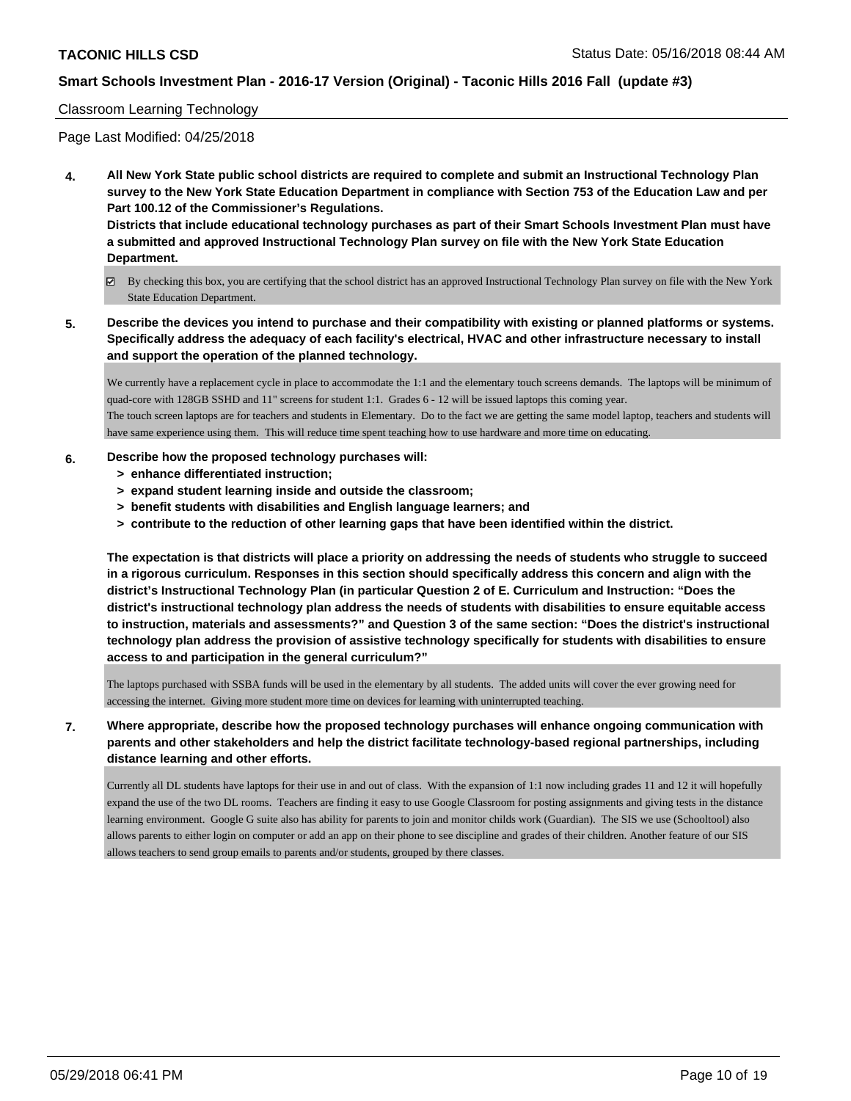#### Classroom Learning Technology

Page Last Modified: 04/25/2018

**4. All New York State public school districts are required to complete and submit an Instructional Technology Plan survey to the New York State Education Department in compliance with Section 753 of the Education Law and per Part 100.12 of the Commissioner's Regulations.**

**Districts that include educational technology purchases as part of their Smart Schools Investment Plan must have a submitted and approved Instructional Technology Plan survey on file with the New York State Education Department.**

- By checking this box, you are certifying that the school district has an approved Instructional Technology Plan survey on file with the New York State Education Department.
- **5. Describe the devices you intend to purchase and their compatibility with existing or planned platforms or systems. Specifically address the adequacy of each facility's electrical, HVAC and other infrastructure necessary to install and support the operation of the planned technology.**

We currently have a replacement cycle in place to accommodate the 1:1 and the elementary touch screens demands. The laptops will be minimum of quad-core with 128GB SSHD and 11" screens for student 1:1. Grades 6 - 12 will be issued laptops this coming year. The touch screen laptops are for teachers and students in Elementary. Do to the fact we are getting the same model laptop, teachers and students will have same experience using them. This will reduce time spent teaching how to use hardware and more time on educating.

- **6. Describe how the proposed technology purchases will:**
	- **> enhance differentiated instruction;**
	- **> expand student learning inside and outside the classroom;**
	- **> benefit students with disabilities and English language learners; and**
	- **> contribute to the reduction of other learning gaps that have been identified within the district.**

**The expectation is that districts will place a priority on addressing the needs of students who struggle to succeed in a rigorous curriculum. Responses in this section should specifically address this concern and align with the district's Instructional Technology Plan (in particular Question 2 of E. Curriculum and Instruction: "Does the district's instructional technology plan address the needs of students with disabilities to ensure equitable access to instruction, materials and assessments?" and Question 3 of the same section: "Does the district's instructional technology plan address the provision of assistive technology specifically for students with disabilities to ensure access to and participation in the general curriculum?"**

The laptops purchased with SSBA funds will be used in the elementary by all students. The added units will cover the ever growing need for accessing the internet. Giving more student more time on devices for learning with uninterrupted teaching.

**7. Where appropriate, describe how the proposed technology purchases will enhance ongoing communication with parents and other stakeholders and help the district facilitate technology-based regional partnerships, including distance learning and other efforts.**

Currently all DL students have laptops for their use in and out of class. With the expansion of 1:1 now including grades 11 and 12 it will hopefully expand the use of the two DL rooms. Teachers are finding it easy to use Google Classroom for posting assignments and giving tests in the distance learning environment. Google G suite also has ability for parents to join and monitor childs work (Guardian). The SIS we use (Schooltool) also allows parents to either login on computer or add an app on their phone to see discipline and grades of their children. Another feature of our SIS allows teachers to send group emails to parents and/or students, grouped by there classes.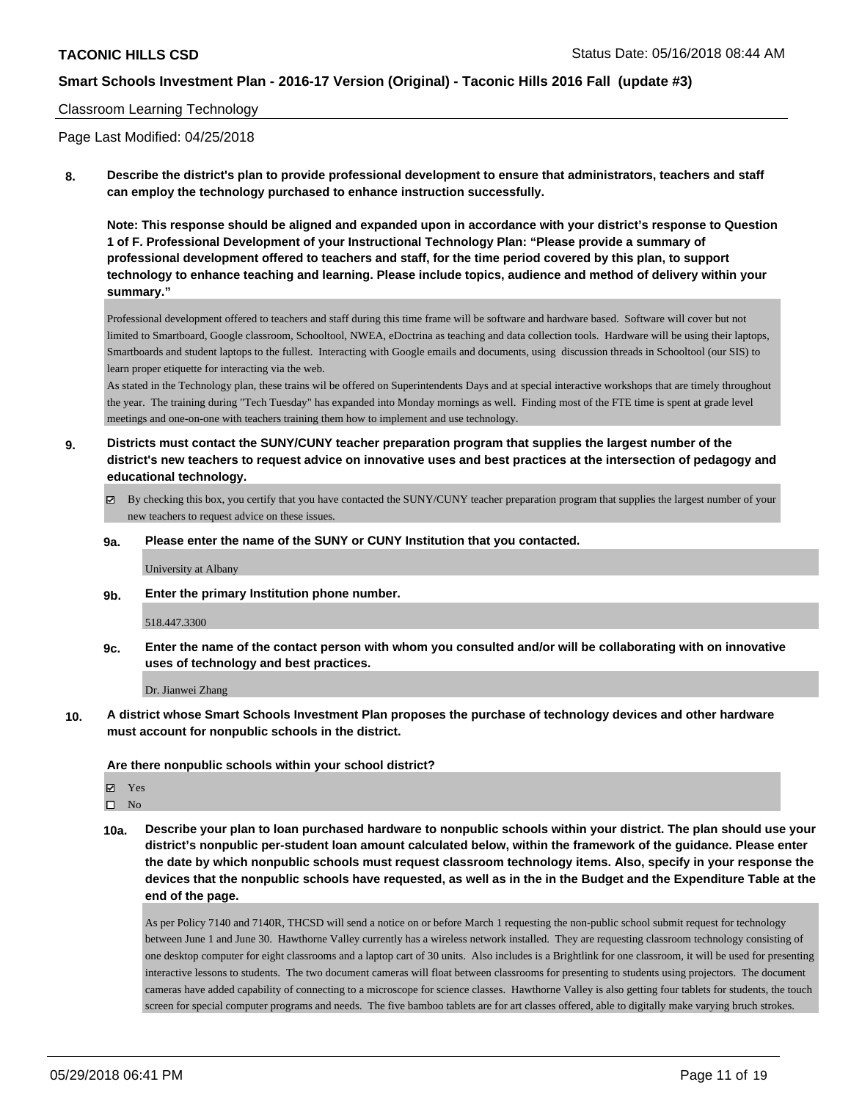#### Classroom Learning Technology

Page Last Modified: 04/25/2018

**8. Describe the district's plan to provide professional development to ensure that administrators, teachers and staff can employ the technology purchased to enhance instruction successfully.**

**Note: This response should be aligned and expanded upon in accordance with your district's response to Question 1 of F. Professional Development of your Instructional Technology Plan: "Please provide a summary of professional development offered to teachers and staff, for the time period covered by this plan, to support technology to enhance teaching and learning. Please include topics, audience and method of delivery within your summary."**

Professional development offered to teachers and staff during this time frame will be software and hardware based. Software will cover but not limited to Smartboard, Google classroom, Schooltool, NWEA, eDoctrina as teaching and data collection tools. Hardware will be using their laptops, Smartboards and student laptops to the fullest. Interacting with Google emails and documents, using discussion threads in Schooltool (our SIS) to learn proper etiquette for interacting via the web.

As stated in the Technology plan, these trains wil be offered on Superintendents Days and at special interactive workshops that are timely throughout the year. The training during "Tech Tuesday" has expanded into Monday mornings as well. Finding most of the FTE time is spent at grade level meetings and one-on-one with teachers training them how to implement and use technology.

- **9. Districts must contact the SUNY/CUNY teacher preparation program that supplies the largest number of the district's new teachers to request advice on innovative uses and best practices at the intersection of pedagogy and educational technology.**
	- By checking this box, you certify that you have contacted the SUNY/CUNY teacher preparation program that supplies the largest number of your new teachers to request advice on these issues.

#### **9a. Please enter the name of the SUNY or CUNY Institution that you contacted.**

University at Albany

**9b. Enter the primary Institution phone number.**

#### 518.447.3300

**9c. Enter the name of the contact person with whom you consulted and/or will be collaborating with on innovative uses of technology and best practices.**

Dr. Jianwei Zhang

**10. A district whose Smart Schools Investment Plan proposes the purchase of technology devices and other hardware must account for nonpublic schools in the district.**

**Are there nonpublic schools within your school district?**

Yes

 $\square$  No

**10a. Describe your plan to loan purchased hardware to nonpublic schools within your district. The plan should use your district's nonpublic per-student loan amount calculated below, within the framework of the guidance. Please enter the date by which nonpublic schools must request classroom technology items. Also, specify in your response the devices that the nonpublic schools have requested, as well as in the in the Budget and the Expenditure Table at the end of the page.**

As per Policy 7140 and 7140R, THCSD will send a notice on or before March 1 requesting the non-public school submit request for technology between June 1 and June 30. Hawthorne Valley currently has a wireless network installed. They are requesting classroom technology consisting of one desktop computer for eight classrooms and a laptop cart of 30 units. Also includes is a Brightlink for one classroom, it will be used for presenting interactive lessons to students. The two document cameras will float between classrooms for presenting to students using projectors. The document cameras have added capability of connecting to a microscope for science classes. Hawthorne Valley is also getting four tablets for students, the touch screen for special computer programs and needs. The five bamboo tablets are for art classes offered, able to digitally make varying bruch strokes.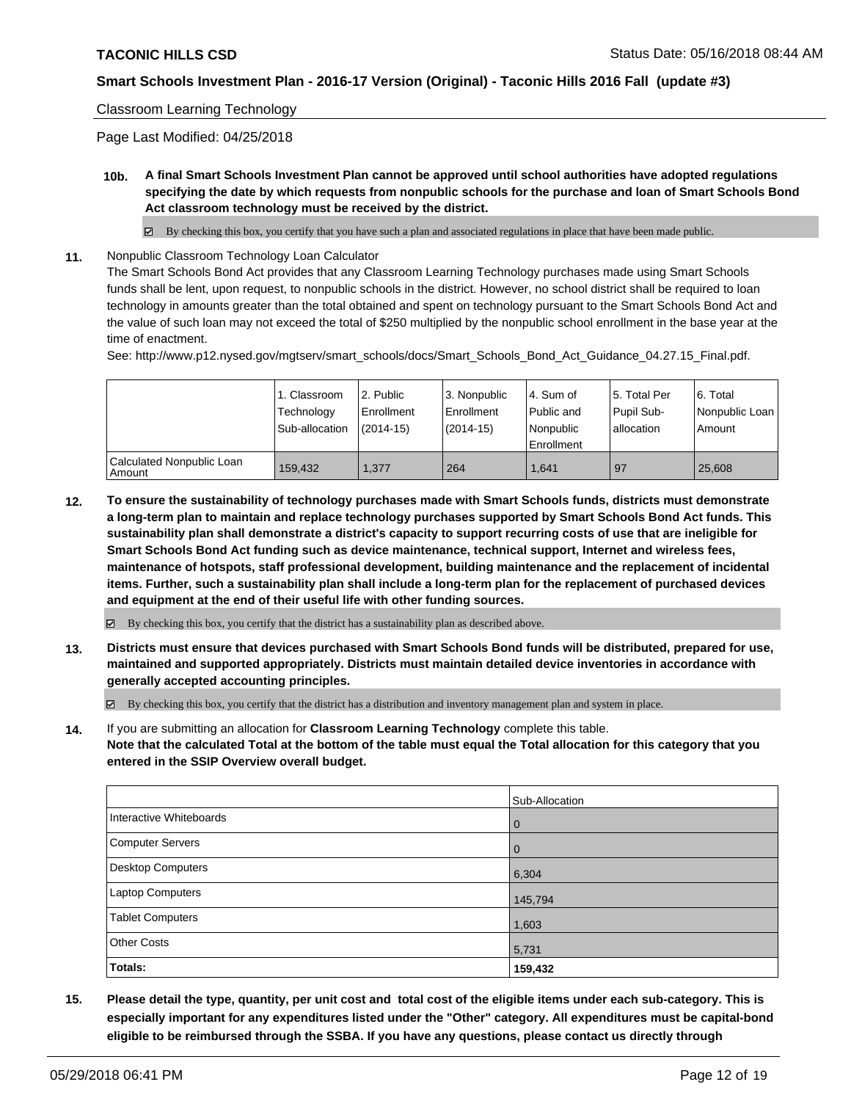#### Classroom Learning Technology

Page Last Modified: 04/25/2018

**10b. A final Smart Schools Investment Plan cannot be approved until school authorities have adopted regulations specifying the date by which requests from nonpublic schools for the purchase and loan of Smart Schools Bond Act classroom technology must be received by the district.**

 $\boxtimes$  By checking this box, you certify that you have such a plan and associated regulations in place that have been made public.

**11.** Nonpublic Classroom Technology Loan Calculator

The Smart Schools Bond Act provides that any Classroom Learning Technology purchases made using Smart Schools funds shall be lent, upon request, to nonpublic schools in the district. However, no school district shall be required to loan technology in amounts greater than the total obtained and spent on technology pursuant to the Smart Schools Bond Act and the value of such loan may not exceed the total of \$250 multiplied by the nonpublic school enrollment in the base year at the time of enactment.

See: http://www.p12.nysed.gov/mgtserv/smart\_schools/docs/Smart\_Schools\_Bond\_Act\_Guidance\_04.27.15\_Final.pdf.

|                                     | 1. Classroom<br>Technology<br>Sub-allocation | l 2. Public<br>l Enrollment<br>$(2014-15)$ | l 3. Nonpublic<br>Enrollment<br>(2014-15) | l 4. Sum of<br>Public and<br>l Nonpublic<br>Enrollment | l 5. Total Per<br>Pupil Sub-<br>lallocation | l 6. Total<br>Nonpublic Loan<br>Amount |
|-------------------------------------|----------------------------------------------|--------------------------------------------|-------------------------------------------|--------------------------------------------------------|---------------------------------------------|----------------------------------------|
| Calculated Nonpublic Loan<br>Amount | 159.432                                      | 1.377                                      | 264                                       | 1.641                                                  | 97                                          | 25,608                                 |

**12. To ensure the sustainability of technology purchases made with Smart Schools funds, districts must demonstrate a long-term plan to maintain and replace technology purchases supported by Smart Schools Bond Act funds. This sustainability plan shall demonstrate a district's capacity to support recurring costs of use that are ineligible for Smart Schools Bond Act funding such as device maintenance, technical support, Internet and wireless fees, maintenance of hotspots, staff professional development, building maintenance and the replacement of incidental items. Further, such a sustainability plan shall include a long-term plan for the replacement of purchased devices and equipment at the end of their useful life with other funding sources.**

 $\boxtimes$  By checking this box, you certify that the district has a sustainability plan as described above.

**13. Districts must ensure that devices purchased with Smart Schools Bond funds will be distributed, prepared for use, maintained and supported appropriately. Districts must maintain detailed device inventories in accordance with generally accepted accounting principles.**

By checking this box, you certify that the district has a distribution and inventory management plan and system in place.

**14.** If you are submitting an allocation for **Classroom Learning Technology** complete this table. **Note that the calculated Total at the bottom of the table must equal the Total allocation for this category that you entered in the SSIP Overview overall budget.**

|                         | Sub-Allocation |
|-------------------------|----------------|
| Interactive Whiteboards | $\overline{0}$ |
| Computer Servers        | $\overline{0}$ |
| Desktop Computers       | 6,304          |
| Laptop Computers        | 145,794        |
| <b>Tablet Computers</b> | 1,603          |
| <b>Other Costs</b>      | 5,731          |
| Totals:                 | 159,432        |

**15. Please detail the type, quantity, per unit cost and total cost of the eligible items under each sub-category. This is especially important for any expenditures listed under the "Other" category. All expenditures must be capital-bond eligible to be reimbursed through the SSBA. If you have any questions, please contact us directly through**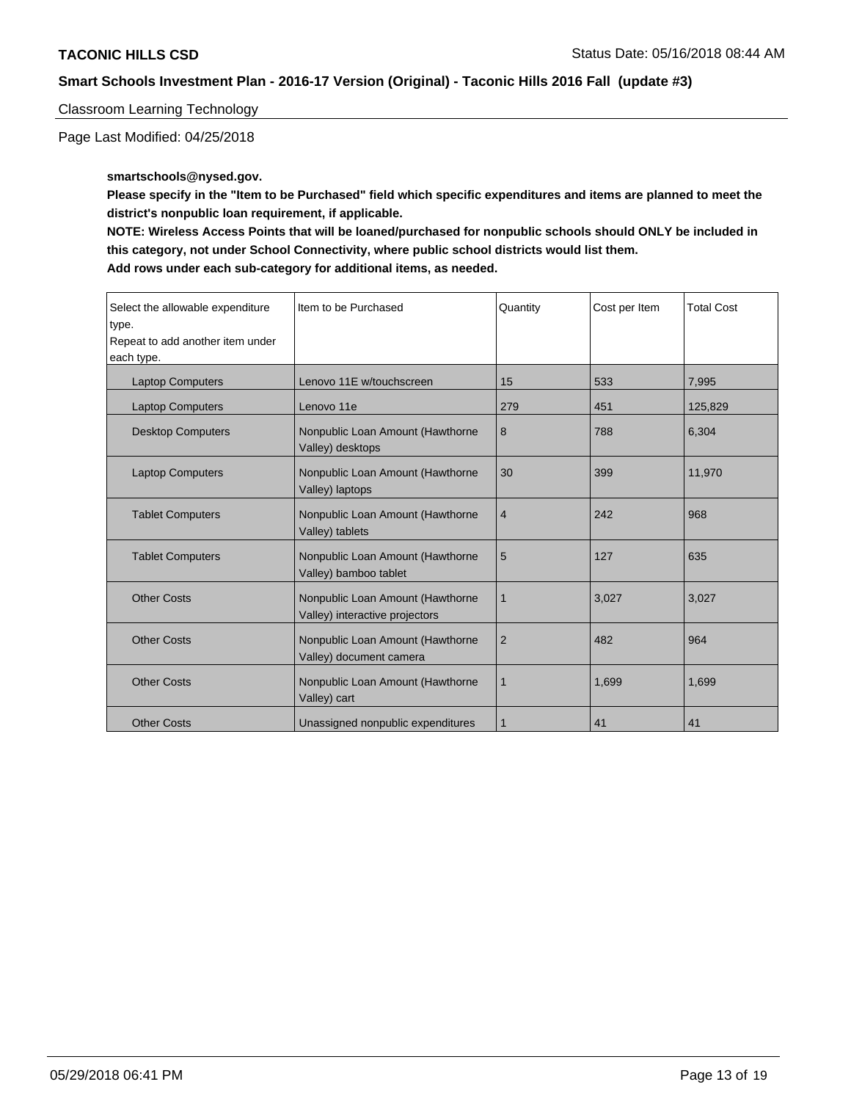Classroom Learning Technology

Page Last Modified: 04/25/2018

**smartschools@nysed.gov.**

**Please specify in the "Item to be Purchased" field which specific expenditures and items are planned to meet the district's nonpublic loan requirement, if applicable.**

**NOTE: Wireless Access Points that will be loaned/purchased for nonpublic schools should ONLY be included in this category, not under School Connectivity, where public school districts would list them. Add rows under each sub-category for additional items, as needed.**

| Select the allowable expenditure<br>type.<br>Repeat to add another item under<br>each type. | Item to be Purchased                                               | Quantity       | Cost per Item | <b>Total Cost</b> |
|---------------------------------------------------------------------------------------------|--------------------------------------------------------------------|----------------|---------------|-------------------|
| <b>Laptop Computers</b>                                                                     | Lenovo 11E w/touchscreen                                           | 15             | 533           | 7,995             |
| <b>Laptop Computers</b>                                                                     | Lenovo 11e                                                         | 279            | 451           | 125,829           |
| <b>Desktop Computers</b>                                                                    | Nonpublic Loan Amount (Hawthorne<br>Valley) desktops               | 8              | 788           | 6,304             |
| <b>Laptop Computers</b>                                                                     | Nonpublic Loan Amount (Hawthorne<br>Valley) laptops                | 30             | 399           | 11,970            |
| <b>Tablet Computers</b>                                                                     | Nonpublic Loan Amount (Hawthorne<br>Valley) tablets                | $\overline{4}$ | 242           | 968               |
| <b>Tablet Computers</b>                                                                     | Nonpublic Loan Amount (Hawthorne<br>Valley) bamboo tablet          | 5              | 127           | 635               |
| <b>Other Costs</b>                                                                          | Nonpublic Loan Amount (Hawthorne<br>Valley) interactive projectors | 1              | 3,027         | 3,027             |
| <b>Other Costs</b>                                                                          | Nonpublic Loan Amount (Hawthorne<br>Valley) document camera        | 2              | 482           | 964               |
| <b>Other Costs</b>                                                                          | Nonpublic Loan Amount (Hawthorne<br>Valley) cart                   |                | 1,699         | 1,699             |
| <b>Other Costs</b>                                                                          | Unassigned nonpublic expenditures                                  |                | 41            | 41                |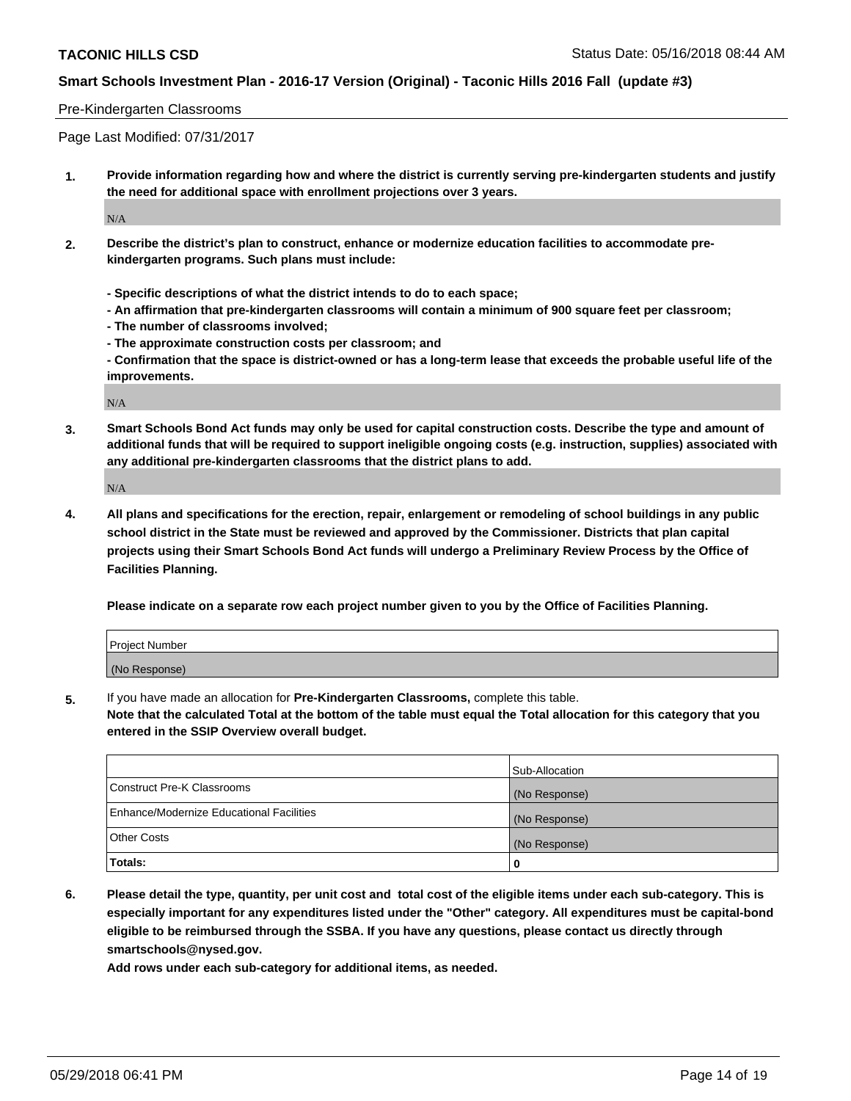#### Pre-Kindergarten Classrooms

Page Last Modified: 07/31/2017

**1. Provide information regarding how and where the district is currently serving pre-kindergarten students and justify the need for additional space with enrollment projections over 3 years.**

 $N/A$ 

- **2. Describe the district's plan to construct, enhance or modernize education facilities to accommodate prekindergarten programs. Such plans must include:**
	- **Specific descriptions of what the district intends to do to each space;**
	- **An affirmation that pre-kindergarten classrooms will contain a minimum of 900 square feet per classroom;**
	- **The number of classrooms involved;**
	- **The approximate construction costs per classroom; and**
	- **Confirmation that the space is district-owned or has a long-term lease that exceeds the probable useful life of the improvements.**

N/A

**3. Smart Schools Bond Act funds may only be used for capital construction costs. Describe the type and amount of additional funds that will be required to support ineligible ongoing costs (e.g. instruction, supplies) associated with any additional pre-kindergarten classrooms that the district plans to add.**

N/A

**4. All plans and specifications for the erection, repair, enlargement or remodeling of school buildings in any public school district in the State must be reviewed and approved by the Commissioner. Districts that plan capital projects using their Smart Schools Bond Act funds will undergo a Preliminary Review Process by the Office of Facilities Planning.**

**Please indicate on a separate row each project number given to you by the Office of Facilities Planning.**

| Project Number |  |
|----------------|--|
| (No Response)  |  |

**5.** If you have made an allocation for **Pre-Kindergarten Classrooms,** complete this table.

**Note that the calculated Total at the bottom of the table must equal the Total allocation for this category that you entered in the SSIP Overview overall budget.**

|                                          | Sub-Allocation |
|------------------------------------------|----------------|
| Construct Pre-K Classrooms               | (No Response)  |
| Enhance/Modernize Educational Facilities | (No Response)  |
| Other Costs                              | (No Response)  |
| Totals:                                  | 0              |

**6. Please detail the type, quantity, per unit cost and total cost of the eligible items under each sub-category. This is especially important for any expenditures listed under the "Other" category. All expenditures must be capital-bond eligible to be reimbursed through the SSBA. If you have any questions, please contact us directly through smartschools@nysed.gov.**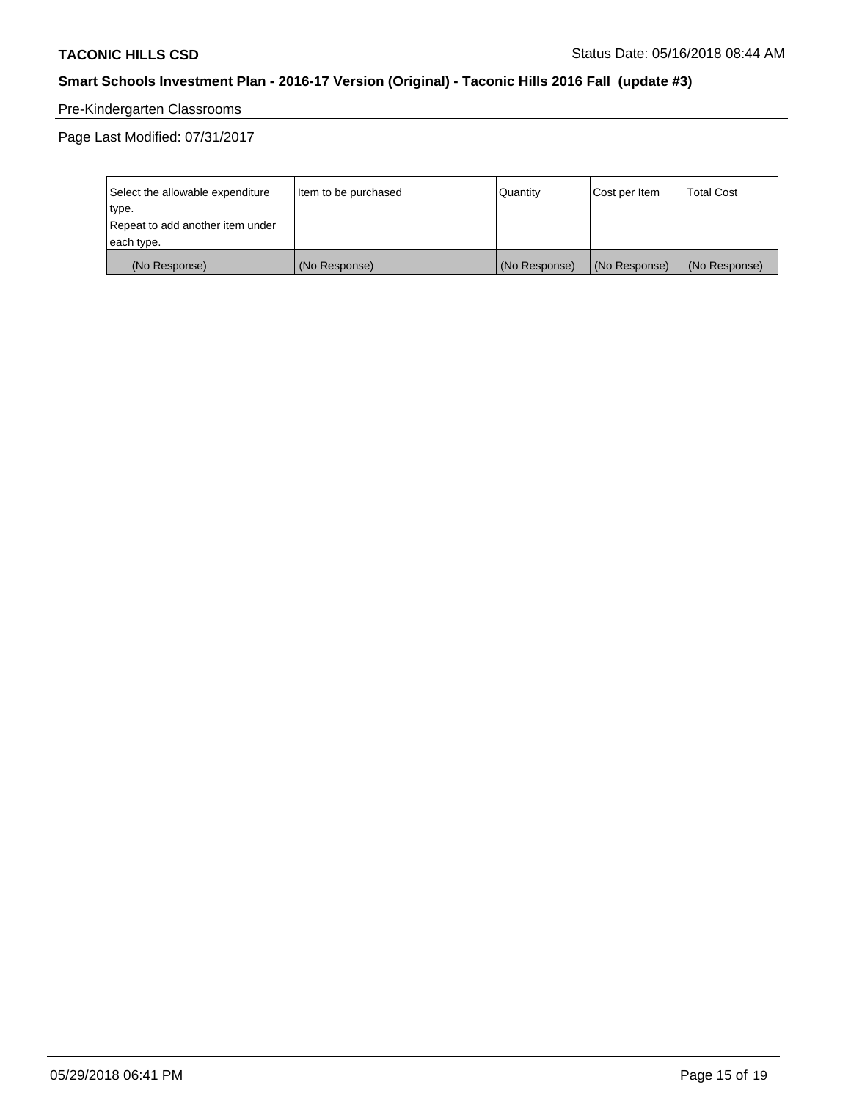# Pre-Kindergarten Classrooms

Page Last Modified: 07/31/2017

| Select the allowable expenditure | Item to be purchased | <b>Quantity</b> | Cost per Item | <b>Total Cost</b> |
|----------------------------------|----------------------|-----------------|---------------|-------------------|
| type.                            |                      |                 |               |                   |
| Repeat to add another item under |                      |                 |               |                   |
| each type.                       |                      |                 |               |                   |
| (No Response)                    | (No Response)        | (No Response)   | (No Response) | (No Response)     |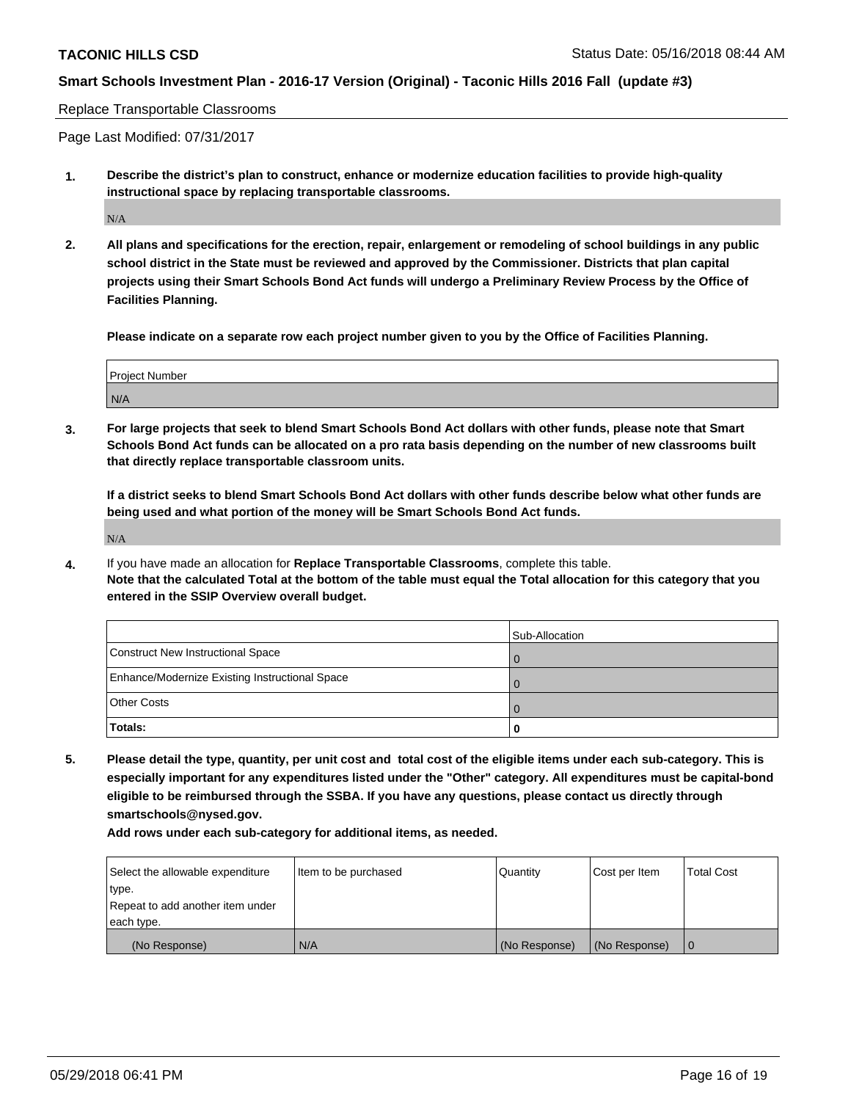Replace Transportable Classrooms

Page Last Modified: 07/31/2017

**1. Describe the district's plan to construct, enhance or modernize education facilities to provide high-quality instructional space by replacing transportable classrooms.**

N/A

**2. All plans and specifications for the erection, repair, enlargement or remodeling of school buildings in any public school district in the State must be reviewed and approved by the Commissioner. Districts that plan capital projects using their Smart Schools Bond Act funds will undergo a Preliminary Review Process by the Office of Facilities Planning.**

**Please indicate on a separate row each project number given to you by the Office of Facilities Planning.**

| <b>Project Number</b> |  |
|-----------------------|--|
| N/A                   |  |

**3. For large projects that seek to blend Smart Schools Bond Act dollars with other funds, please note that Smart Schools Bond Act funds can be allocated on a pro rata basis depending on the number of new classrooms built that directly replace transportable classroom units.**

**If a district seeks to blend Smart Schools Bond Act dollars with other funds describe below what other funds are being used and what portion of the money will be Smart Schools Bond Act funds.**

N/A

**4.** If you have made an allocation for **Replace Transportable Classrooms**, complete this table. **Note that the calculated Total at the bottom of the table must equal the Total allocation for this category that you entered in the SSIP Overview overall budget.**

|                                                | Sub-Allocation |
|------------------------------------------------|----------------|
| Construct New Instructional Space              |                |
| Enhance/Modernize Existing Instructional Space |                |
| <b>Other Costs</b>                             |                |
| Totals:                                        |                |

**5. Please detail the type, quantity, per unit cost and total cost of the eligible items under each sub-category. This is especially important for any expenditures listed under the "Other" category. All expenditures must be capital-bond eligible to be reimbursed through the SSBA. If you have any questions, please contact us directly through smartschools@nysed.gov.**

| Select the allowable expenditure | Item to be purchased | Quantity      | Cost per Item | <b>Total Cost</b> |
|----------------------------------|----------------------|---------------|---------------|-------------------|
| type.                            |                      |               |               |                   |
| Repeat to add another item under |                      |               |               |                   |
| each type.                       |                      |               |               |                   |
| (No Response)                    | I N/A                | (No Response) | (No Response) |                   |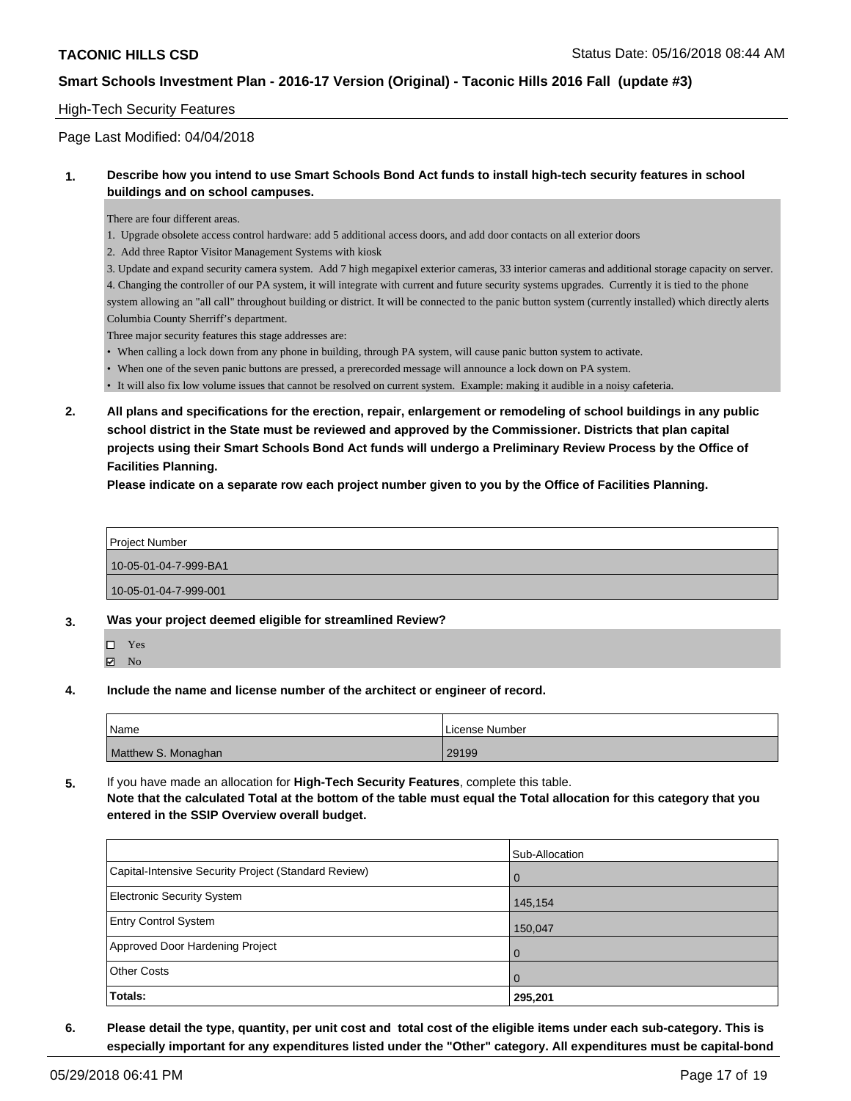#### High-Tech Security Features

#### Page Last Modified: 04/04/2018

#### **1. Describe how you intend to use Smart Schools Bond Act funds to install high-tech security features in school buildings and on school campuses.**

There are four different areas.

- 1. Upgrade obsolete access control hardware: add 5 additional access doors, and add door contacts on all exterior doors
- 2. Add three Raptor Visitor Management Systems with kiosk

3. Update and expand security camera system. Add 7 high megapixel exterior cameras, 33 interior cameras and additional storage capacity on server. 4. Changing the controller of our PA system, it will integrate with current and future security systems upgrades. Currently it is tied to the phone system allowing an "all call" throughout building or district. It will be connected to the panic button system (currently installed) which directly alerts Columbia County Sherriff's department.

Three major security features this stage addresses are:

- When calling a lock down from any phone in building, through PA system, will cause panic button system to activate.
- When one of the seven panic buttons are pressed, a prerecorded message will announce a lock down on PA system.
- It will also fix low volume issues that cannot be resolved on current system. Example: making it audible in a noisy cafeteria.
- **2. All plans and specifications for the erection, repair, enlargement or remodeling of school buildings in any public school district in the State must be reviewed and approved by the Commissioner. Districts that plan capital projects using their Smart Schools Bond Act funds will undergo a Preliminary Review Process by the Office of Facilities Planning.**

**Please indicate on a separate row each project number given to you by the Office of Facilities Planning.**

Project Number 10-05-01-04-7-999-BA1 10-05-01-04-7-999-001

- **3. Was your project deemed eligible for streamlined Review?**
	- Yes
	- $\boxtimes$  No
- **4. Include the name and license number of the architect or engineer of record.**

| Name                | License Number |
|---------------------|----------------|
| Matthew S. Monaghan | 29199          |

**5.** If you have made an allocation for **High-Tech Security Features**, complete this table. **Note that the calculated Total at the bottom of the table must equal the Total allocation for this category that you entered in the SSIP Overview overall budget.**

|                                                      | Sub-Allocation |
|------------------------------------------------------|----------------|
| Capital-Intensive Security Project (Standard Review) | $\overline{0}$ |
| <b>Electronic Security System</b>                    | 145,154        |
| <b>Entry Control System</b>                          | 150,047        |
| Approved Door Hardening Project                      | $\overline{0}$ |
| <b>Other Costs</b>                                   | $\Omega$       |
| Totals:                                              | 295,201        |

**6. Please detail the type, quantity, per unit cost and total cost of the eligible items under each sub-category. This is especially important for any expenditures listed under the "Other" category. All expenditures must be capital-bond**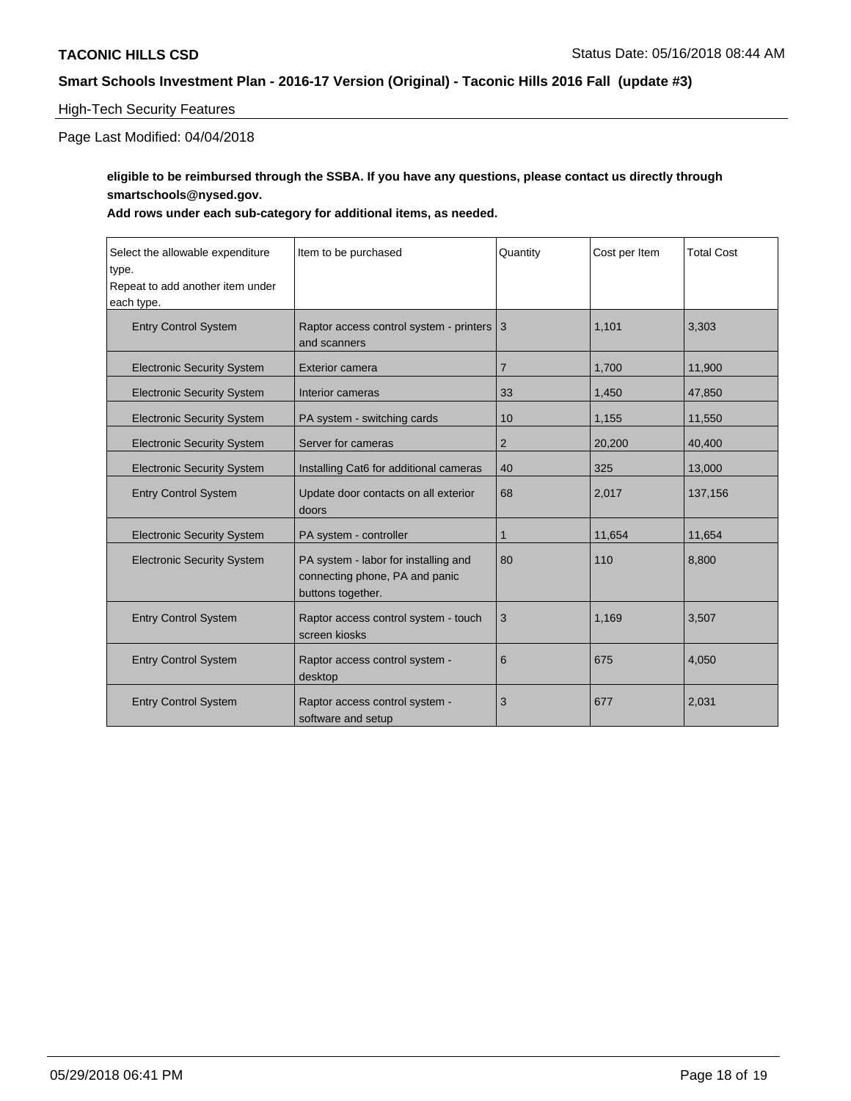### High-Tech Security Features

Page Last Modified: 04/04/2018

## **eligible to be reimbursed through the SSBA. If you have any questions, please contact us directly through smartschools@nysed.gov.**

| Select the allowable expenditure<br>type.<br>Repeat to add another item under<br>each type. | Item to be purchased                                                                        | Quantity       | Cost per Item | <b>Total Cost</b> |
|---------------------------------------------------------------------------------------------|---------------------------------------------------------------------------------------------|----------------|---------------|-------------------|
| <b>Entry Control System</b>                                                                 | Raptor access control system - printers 3<br>and scanners                                   |                | 1.101         | 3,303             |
| <b>Electronic Security System</b>                                                           | <b>Exterior camera</b>                                                                      | $\overline{7}$ | 1,700         | 11,900            |
| <b>Electronic Security System</b>                                                           | Interior cameras                                                                            | 33             | 1,450         | 47,850            |
| <b>Electronic Security System</b>                                                           | PA system - switching cards                                                                 | 10             | 1,155         | 11,550            |
| <b>Electronic Security System</b>                                                           | Server for cameras                                                                          | $\overline{2}$ | 20,200        | 40,400            |
| <b>Electronic Security System</b>                                                           | Installing Cat6 for additional cameras                                                      | 40             | 325           | 13,000            |
| <b>Entry Control System</b>                                                                 | Update door contacts on all exterior<br>doors                                               | 68             | 2,017         | 137,156           |
| <b>Electronic Security System</b>                                                           | PA system - controller                                                                      | $\mathbf 1$    | 11,654        | 11,654            |
| <b>Electronic Security System</b>                                                           | PA system - labor for installing and<br>connecting phone, PA and panic<br>buttons together. | 80             | 110           | 8,800             |
| <b>Entry Control System</b>                                                                 | Raptor access control system - touch<br>screen kiosks                                       | 3              | 1,169         | 3,507             |
| <b>Entry Control System</b>                                                                 | Raptor access control system -<br>desktop                                                   | 6              | 675           | 4,050             |
| <b>Entry Control System</b>                                                                 | Raptor access control system -<br>software and setup                                        | 3              | 677           | 2,031             |